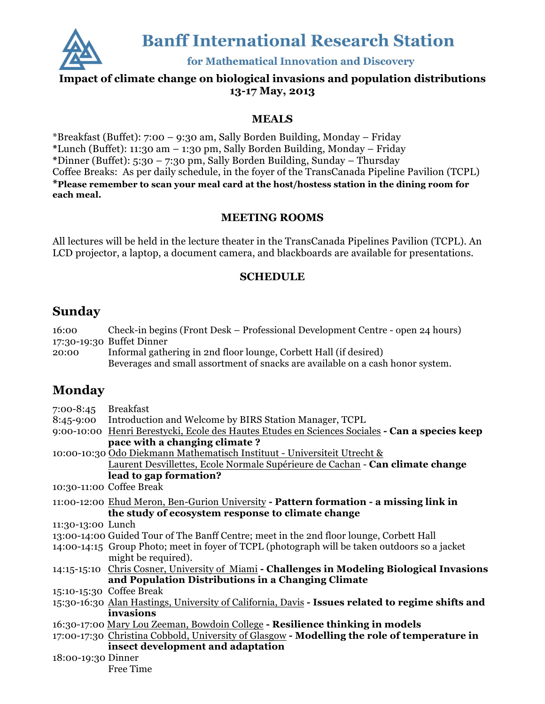

**Banff International Research Station** 

for Mathematical Innovation and Discovery

#### **Impact of climate change on biological invasions and population distributions 13-17 May, 2013**

#### **MEALS**

\*Breakfast (Buffet): 7:00 – 9:30 am, Sally Borden Building, Monday – Friday **\***Lunch (Buffet): 11:30 am – 1:30 pm, Sally Borden Building, Monday – Friday **\***Dinner (Buffet): 5:30 – 7:30 pm, Sally Borden Building, Sunday – Thursday Coffee Breaks: As per daily schedule, in the foyer of the TransCanada Pipeline Pavilion (TCPL) **\*Please remember to scan your meal card at the host/hostess station in the dining room for each meal.**

#### **MEETING ROOMS**

All lectures will be held in the lecture theater in the TransCanada Pipelines Pavilion (TCPL). An LCD projector, a laptop, a document camera, and blackboards are available for presentations.

#### **SCHEDULE**

### **Sunday**

| 16:00<br>20:00     | Check-in begins (Front Desk – Professional Development Centre - open 24 hours)<br>17:30-19:30 Buffet Dinner<br>Informal gathering in 2nd floor lounge, Corbett Hall (if desired)<br>Beverages and small assortment of snacks are available on a cash honor system. |
|--------------------|--------------------------------------------------------------------------------------------------------------------------------------------------------------------------------------------------------------------------------------------------------------------|
| Monday             |                                                                                                                                                                                                                                                                    |
| 7:00-8:45          | Breakfast                                                                                                                                                                                                                                                          |
| 8:45-9:00          | Introduction and Welcome by BIRS Station Manager, TCPL                                                                                                                                                                                                             |
|                    | 9:00-10:00 Henri Berestycki, Ecole des Hautes Etudes en Sciences Sociales <b>- Can a species keep</b>                                                                                                                                                              |
|                    | pace with a changing climate?                                                                                                                                                                                                                                      |
|                    | 10:00-10:30 Odo Diekmann Mathematisch Instituut - Universiteit Utrecht &                                                                                                                                                                                           |
|                    | Laurent Desvillettes, Ecole Normale Supérieure de Cachan - Can climate change                                                                                                                                                                                      |
|                    | lead to gap formation?                                                                                                                                                                                                                                             |
|                    | 10:30-11:00 Coffee Break                                                                                                                                                                                                                                           |
|                    | 11:00-12:00 Ehud Meron, Ben-Gurion University - Pattern formation - a missing link in                                                                                                                                                                              |
|                    | the study of ecosystem response to climate change                                                                                                                                                                                                                  |
| 11:30-13:00 Lunch  |                                                                                                                                                                                                                                                                    |
|                    | 13:00-14:00 Guided Tour of The Banff Centre; meet in the 2nd floor lounge, Corbett Hall                                                                                                                                                                            |
|                    | 14:00-14:15 Group Photo; meet in foyer of TCPL (photograph will be taken outdoors so a jacket<br>might be required).                                                                                                                                               |
|                    | 14:15-15:10 Chris Cosner, University of Miami - Challenges in Modeling Biological Invasions                                                                                                                                                                        |
|                    | and Population Distributions in a Changing Climate                                                                                                                                                                                                                 |
|                    | 15:10-15:30 Coffee Break                                                                                                                                                                                                                                           |
|                    | 15:30-16:30 Alan Hastings, University of California, Davis - Issues related to regime shifts and                                                                                                                                                                   |
|                    | invasions                                                                                                                                                                                                                                                          |
|                    | 16:30-17:00 Mary Lou Zeeman, Bowdoin College - Resilience thinking in models                                                                                                                                                                                       |
|                    | 17:00-17:30 Christina Cobbold, University of Glasgow - Modelling the role of temperature in                                                                                                                                                                        |
|                    | insect development and adaptation                                                                                                                                                                                                                                  |
| 18:00-19:30 Dinner |                                                                                                                                                                                                                                                                    |
|                    | Free Time                                                                                                                                                                                                                                                          |
|                    |                                                                                                                                                                                                                                                                    |
|                    |                                                                                                                                                                                                                                                                    |
|                    |                                                                                                                                                                                                                                                                    |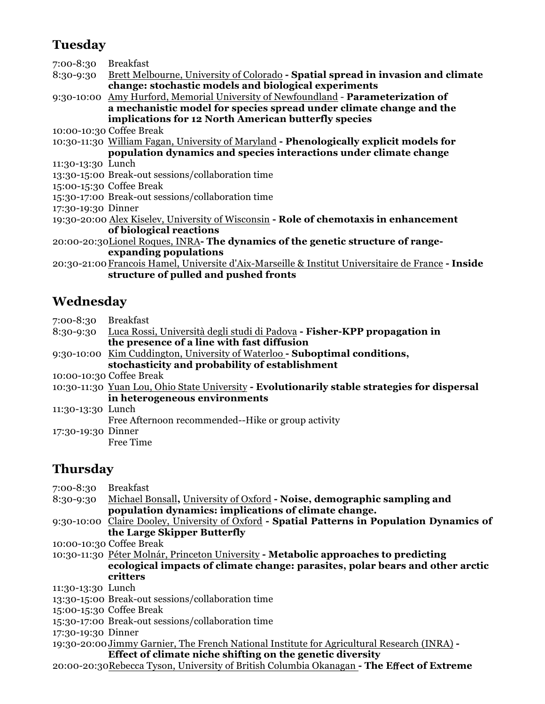## **Tuesday**

7:00-8:30 Breakfast

8:30-9:30 Brett Melbourne, University of Colorado **- Spatial spread in invasion and climate change: stochastic models and biological experiments**

9:30-10:00 Amy Hurford, Memorial University of Newfoundland - **Parameterization of a mechanistic model for species spread under climate change and the implications for 12 North American butterfly species** 

10:00-10:30 Coffee Break

10:30-11:30 William Fagan, University of Maryland **- Phenologically explicit models for population dynamics and species interactions under climate change**

- 11:30-13:30 Lunch
- 13:30-15:00 Break-out sessions/collaboration time

15:00-15:30 Coffee Break

- 15:30-17:00 Break-out sessions/collaboration time
- 17:30-19:30 Dinner
- 19:30-20:00 Alex Kiselev, University of Wisconsin **- Role of chemotaxis in enhancement of biological reactions**

20:00-20:30Lionel Roques, INRA**- The dynamics of the genetic structure of rangeexpanding populations**

20:30-21:00Francois Hamel, Universite d'Aix-Marseille & Institut Universitaire de France **- Inside structure of pulled and pushed fronts**

## **Wednesday**

7:00-8:30 Breakfast 8:30-9:30 Luca Rossi, Università degli studi di Padova **- Fisher-KPP propagation in the presence of a line with fast diffusion** 9:30-10:00 Kim Cuddington, University of Waterloo **- Suboptimal conditions, stochasticity and probability of establishment** 10:00-10:30 Coffee Break 10:30-11:30 Yuan Lou, Ohio State University **- Evolutionarily stable strategies for dispersal in heterogeneous environments**  11:30-13:30 Lunch Free Afternoon recommended--Hike or group activity 17:30-19:30 Dinner Free Time

## **Thursday**

| 7:00-8:30 Breakfast |                                                                                             |
|---------------------|---------------------------------------------------------------------------------------------|
| 8:30-9:30           | Michael Bonsall, University of Oxford - Noise, demographic sampling and                     |
|                     | population dynamics: implications of climate change.                                        |
|                     | 9:30-10:00 Claire Dooley, University of Oxford - Spatial Patterns in Population Dynamics of |
|                     | the Large Skipper Butterfly                                                                 |
|                     | 10:00-10:30 Coffee Break                                                                    |
|                     | 10:30-11:30 Péter Molnár, Princeton University - Metabolic approaches to predicting         |
|                     | ecological impacts of climate change: parasites, polar bears and other arctic               |
|                     | critters                                                                                    |
| 11:30-13:30 Lunch   |                                                                                             |
|                     | 13:30-15:00 Break-out sessions/collaboration time                                           |
|                     | 15:00-15:30 Coffee Break                                                                    |
|                     | 15:30-17:00 Break-out sessions/collaboration time                                           |
| 17:30-19:30 Dinner  |                                                                                             |
|                     | 19:30-20:00 Jimmy Garnier, The French National Institute for Agricultural Research (INRA) - |
|                     | Effect of climate niche shifting on the genetic diversity                                   |
|                     | 20:00-20:30Rebecca Tyson, University of British Columbia Okanagan - The Effect of Extreme   |
|                     |                                                                                             |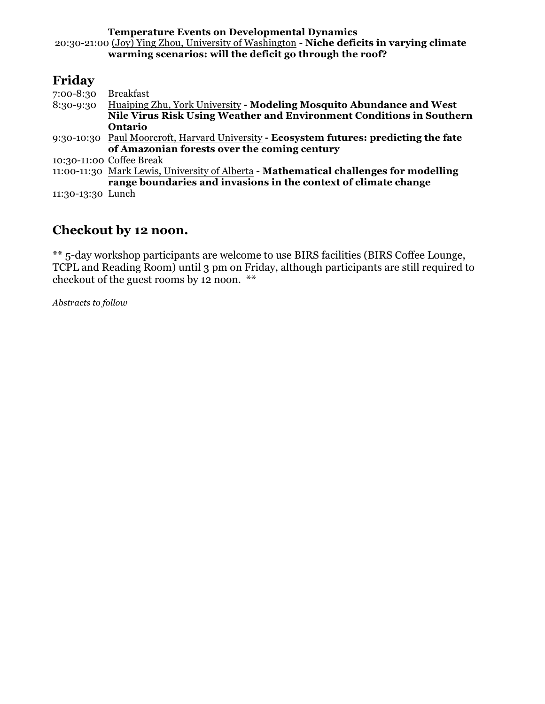**Temperature Events on Developmental Dynamics**  20:30-21:00 (Joy) Ying Zhou, University of Washington **- Niche deficits in varying climate warming scenarios: will the deficit go through the roof?**

## **Friday**

| 7:00-8:30         | Breakfast                                                                              |
|-------------------|----------------------------------------------------------------------------------------|
|                   | 8:30-9:30 Huaiping Zhu, York University - Modeling Mosquito Abundance and West         |
|                   | Nile Virus Risk Using Weather and Environment Conditions in Southern                   |
|                   | Ontario                                                                                |
|                   | 9:30-10:30 Paul Moorcroft, Harvard University - Ecosystem futures: predicting the fate |
|                   | of Amazonian forests over the coming century                                           |
|                   | 10:30-11:00 Coffee Break                                                               |
|                   | 11:00-11:30 Mark Lewis, University of Alberta - Mathematical challenges for modelling  |
|                   | range boundaries and invasions in the context of climate change                        |
| 11:30-13:30 Lunch |                                                                                        |
|                   |                                                                                        |

## **Checkout by 12 noon.**

\*\* 5-day workshop participants are welcome to use BIRS facilities (BIRS Coffee Lounge, TCPL and Reading Room) until 3 pm on Friday, although participants are still required to checkout of the guest rooms by 12 noon. \*\*

*Abstracts to follow*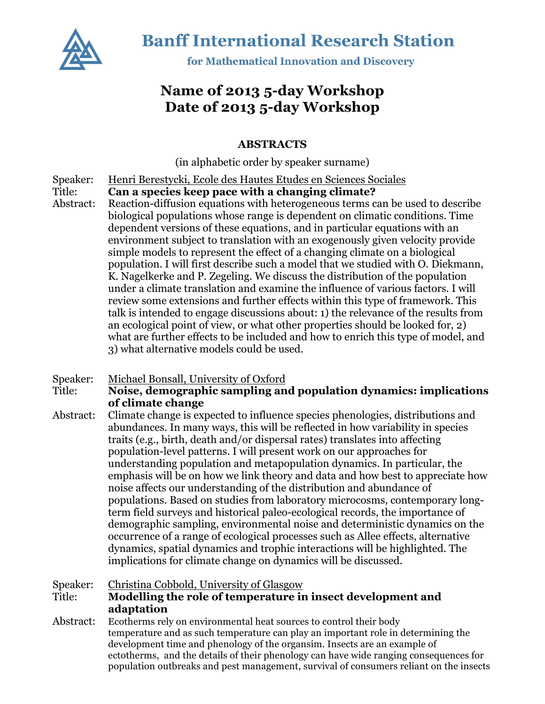

**Banff International Research Station** 

for Mathematical Innovation and Discovery

## **Name of 2013 5-day Workshop Date of 2013 5-day Workshop**

#### **ABSTRACTS**

(in alphabetic order by speaker surname)

- Speaker: Henri Berestycki, Ecole des Hautes Etudes en Sciences Sociales
- Title: **Can a species keep pace with a changing climate?**
- Abstract: Reaction-diffusion equations with heterogeneous terms can be used to describe biological populations whose range is dependent on climatic conditions. Time dependent versions of these equations, and in particular equations with an environment subject to translation with an exogenously given velocity provide simple models to represent the effect of a changing climate on a biological population. I will first describe such a model that we studied with O. Diekmann, K. Nagelkerke and P. Zegeling. We discuss the distribution of the population under a climate translation and examine the influence of various factors. I will review some extensions and further effects within this type of framework. This talk is intended to engage discussions about: 1) the relevance of the results from an ecological point of view, or what other properties should be looked for, 2) what are further effects to be included and how to enrich this type of model, and 3) what alternative models could be used.

#### Speaker: Michael Bonsall, University of Oxford

Title: **Noise, demographic sampling and population dynamics: implications of climate change**

Abstract: Climate change is expected to influence species phenologies, distributions and abundances. In many ways, this will be reflected in how variability in species traits (e.g., birth, death and/or dispersal rates) translates into affecting population-level patterns. I will present work on our approaches for understanding population and metapopulation dynamics. In particular, the emphasis will be on how we link theory and data and how best to appreciate how noise affects our understanding of the distribution and abundance of populations. Based on studies from laboratory microcosms, contemporary longterm field surveys and historical paleo-ecological records, the importance of demographic sampling, environmental noise and deterministic dynamics on the occurrence of a range of ecological processes such as Allee effects, alternative dynamics, spatial dynamics and trophic interactions will be highlighted. The implications for climate change on dynamics will be discussed.

#### Speaker: Christina Cobbold, University of Glasgow Title: **Modelling the role of temperature in insect development and adaptation**

Abstract: Ecotherms rely on environmental heat sources to control their body temperature and as such temperature can play an important role in determining the development time and phenology of the organsim. Insects are an example of ectotherms, and the details of their phenology can have wide ranging consequences for population outbreaks and pest management, survival of consumers reliant on the insects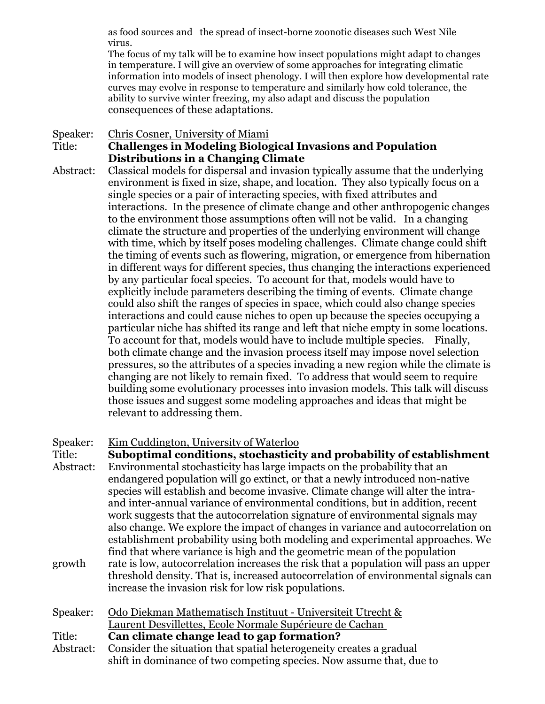as food sources and the spread of insect-borne zoonotic diseases such West Nile virus.

The focus of my talk will be to examine how insect populations might adapt to changes in temperature. I will give an overview of some approaches for integrating climatic information into models of insect phenology. I will then explore how developmental rate curves may evolve in response to temperature and similarly how cold tolerance, the ability to survive winter freezing, my also adapt and discuss the population consequences of these adaptations.

#### Speaker: Chris Cosner, University of Miami Title: **Challenges in Modeling Biological Invasions and Population Distributions in a Changing Climate**

Abstract: Classical models for dispersal and invasion typically assume that the underlying environment is fixed in size, shape, and location. They also typically focus on a single species or a pair of interacting species, with fixed attributes and interactions. In the presence of climate change and other anthropogenic changes to the environment those assumptions often will not be valid. In a changing climate the structure and properties of the underlying environment will change with time, which by itself poses modeling challenges. Climate change could shift the timing of events such as flowering, migration, or emergence from hibernation in different ways for different species, thus changing the interactions experienced by any particular focal species. To account for that, models would have to explicitly include parameters describing the timing of events. Climate change could also shift the ranges of species in space, which could also change species interactions and could cause niches to open up because the species occupying a particular niche has shifted its range and left that niche empty in some locations. To account for that, models would have to include multiple species. Finally, both climate change and the invasion process itself may impose novel selection pressures, so the attributes of a species invading a new region while the climate is changing are not likely to remain fixed. To address that would seem to require building some evolutionary processes into invasion models. This talk will discuss those issues and suggest some modeling approaches and ideas that might be relevant to addressing them.

#### Speaker: Kim Cuddington, University of Waterloo

Title: **Suboptimal conditions, stochasticity and probability of establishment** Abstract: Environmental stochasticity has large impacts on the probability that an endangered population will go extinct, or that a newly introduced non-native species will establish and become invasive. Climate change will alter the intraand inter-annual variance of environmental conditions, but in addition, recent work suggests that the autocorrelation signature of environmental signals may also change. We explore the impact of changes in variance and autocorrelation on establishment probability using both modeling and experimental approaches. We find that where variance is high and the geometric mean of the population growth rate is low, autocorrelation increases the risk that a population will pass an upper threshold density. That is, increased autocorrelation of environmental signals can increase the invasion risk for low risk populations.

Speaker: Odo Diekman Mathematisch Instituut - Universiteit Utrecht & Laurent Desvillettes, Ecole Normale Supérieure de Cachan Title: **Can climate change lead to gap formation?** Abstract: Consider the situation that spatial heterogeneity creates a gradual shift in dominance of two competing species. Now assume that, due to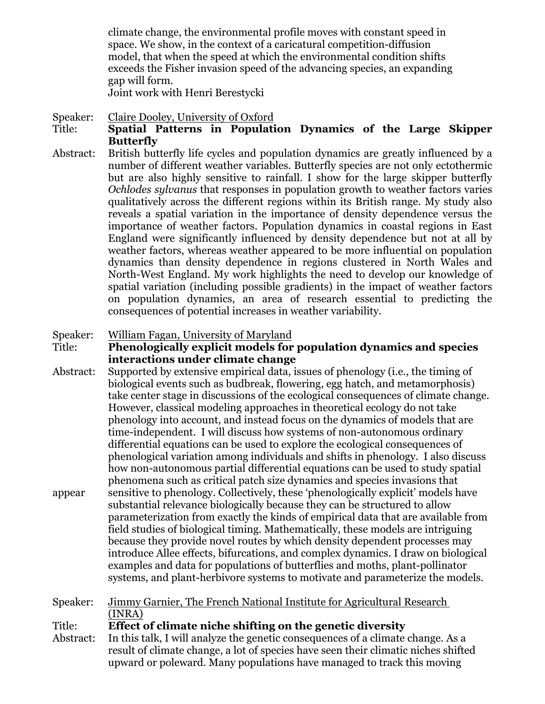climate change, the environmental profile moves with constant speed in space. We show, in the context of a caricatural competition-diffusion model, that when the speed at which the environmental condition shifts exceeds the Fisher invasion speed of the advancing species, an expanding gap will form.

Joint work with Henri Berestycki

#### Speaker: Claire Dooley, University of Oxford

#### Title: **Spatial Patterns in Population Dynamics of the Large Skipper Butterfly**

Abstract: British butterfly life cycles and population dynamics are greatly influenced by a number of different weather variables. Butterfly species are not only ectothermic but are also highly sensitive to rainfall. I show for the large skipper butterfly *Ochlodes sylvanus* that responses in population growth to weather factors varies qualitatively across the different regions within its British range. My study also reveals a spatial variation in the importance of density dependence versus the importance of weather factors. Population dynamics in coastal regions in East England were significantly influenced by density dependence but not at all by weather factors, whereas weather appeared to be more influential on population dynamics than density dependence in regions clustered in North Wales and North-West England. My work highlights the need to develop our knowledge of spatial variation (including possible gradients) in the impact of weather factors on population dynamics, an area of research essential to predicting the consequences of potential increases in weather variability.

#### Speaker: William Fagan, University of Maryland

Title: **Phenologically explicit models for population dynamics and species interactions under climate change**

Abstract: Supported by extensive empirical data, issues of phenology (i.e., the timing of biological events such as budbreak, flowering, egg hatch, and metamorphosis) take center stage in discussions of the ecological consequences of climate change. However, classical modeling approaches in theoretical ecology do not take phenology into account, and instead focus on the dynamics of models that are time-independent. I will discuss how systems of non-autonomous ordinary differential equations can be used to explore the ecological consequences of phenological variation among individuals and shifts in phenology. I also discuss how non-autonomous partial differential equations can be used to study spatial phenomena such as critical patch size dynamics and species invasions that appear sensitive to phenology. Collectively, these 'phenologically explicit' models have substantial relevance biologically because they can be structured to allow parameterization from exactly the kinds of empirical data that are available from field studies of biological timing. Mathematically, these models are intriguing because they provide novel routes by which density dependent processes may introduce Allee effects, bifurcations, and complex dynamics. I draw on biological examples and data for populations of butterflies and moths, plant-pollinator systems, and plant-herbivore systems to motivate and parameterize the models.

Speaker: Jimmy Garnier, The French National Institute for Agricultural Research (INRA) Title: **Effect of climate niche shifting on the genetic diversity** Abstract: In this talk, I will analyze the genetic consequences of a climate change. As a result of climate change, a lot of species have seen their climatic niches shifted upward or poleward. Many populations have managed to track this moving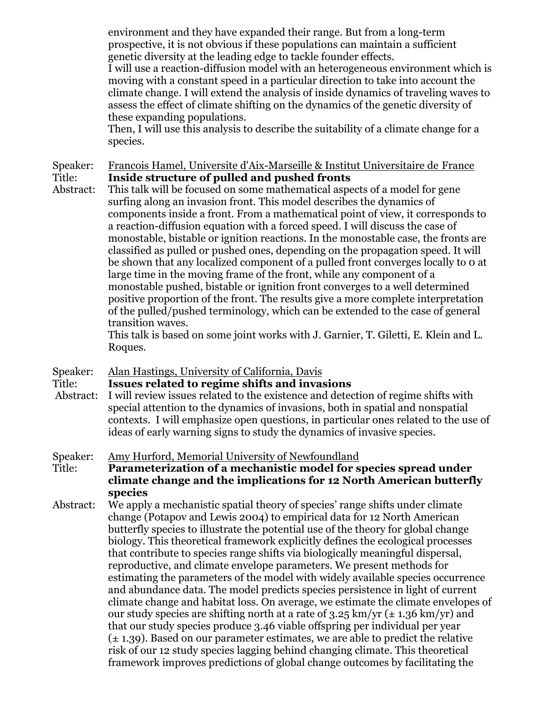environment and they have expanded their range. But from a long-term prospective, it is not obvious if these populations can maintain a sufficient genetic diversity at the leading edge to tackle founder effects.

I will use a reaction-diffusion model with an heterogeneous environment which is moving with a constant speed in a particular direction to take into account the climate change. I will extend the analysis of inside dynamics of traveling waves to assess the effect of climate shifting on the dynamics of the genetic diversity of these expanding populations.

Then, I will use this analysis to describe the suitability of a climate change for a species.

Speaker: Francois Hamel, Universite d'Aix-Marseille & Institut Universitaire de France Title: **Inside structure of pulled and pushed fronts**

Abstract: This talk will be focused on some mathematical aspects of a model for gene surfing along an invasion front. This model describes the dynamics of components inside a front. From a mathematical point of view, it corresponds to a reaction-diffusion equation with a forced speed. I will discuss the case of monostable, bistable or ignition reactions. In the monostable case, the fronts are classified as pulled or pushed ones, depending on the propagation speed. It will be shown that any localized component of a pulled front converges locally to 0 at large time in the moving frame of the front, while any component of a monostable pushed, bistable or ignition front converges to a well determined positive proportion of the front. The results give a more complete interpretation of the pulled/pushed terminology, which can be extended to the case of general transition waves.

This talk is based on some joint works with J. Garnier, T. Giletti, E. Klein and L. Roques.

#### Speaker: Alan Hastings, University of California, Davis

#### Title: **Issues related to regime shifts and invasions**

Abstract: I will review issues related to the existence and detection of regime shifts with special attention to the dynamics of invasions, both in spatial and nonspatial contexts. I will emphasize open questions, in particular ones related to the use of ideas of early warning signs to study the dynamics of invasive species.

#### Speaker: Amy Hurford, Memorial University of Newfoundland

Title: **Parameterization of a mechanistic model for species spread under climate change and the implications for 12 North American butterfly species**

Abstract: We apply a mechanistic spatial theory of species' range shifts under climate change (Potapov and Lewis 2004) to empirical data for 12 North American butterfly species to illustrate the potential use of the theory for global change biology. This theoretical framework explicitly defines the ecological processes that contribute to species range shifts via biologically meaningful dispersal, reproductive, and climate envelope parameters. We present methods for estimating the parameters of the model with widely available species occurrence and abundance data. The model predicts species persistence in light of current climate change and habitat loss. On average, we estimate the climate envelopes of our study species are shifting north at a rate of  $3.25 \text{ km/yr}$  ( $\pm 1.36 \text{ km/yr}$ ) and that our study species produce 3.46 viable offspring per individual per year  $(\pm 1.39)$ . Based on our parameter estimates, we are able to predict the relative risk of our 12 study species lagging behind changing climate. This theoretical framework improves predictions of global change outcomes by facilitating the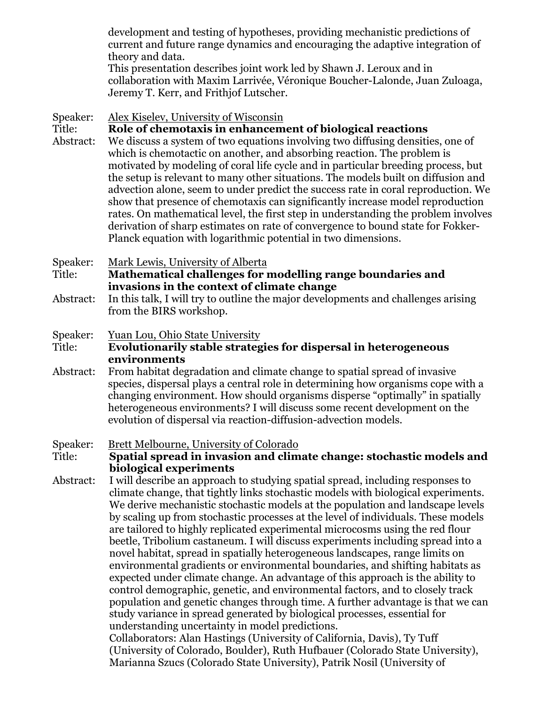development and testing of hypotheses, providing mechanistic predictions of current and future range dynamics and encouraging the adaptive integration of theory and data.

This presentation describes joint work led by Shawn J. Leroux and in collaboration with Maxim Larrivée, Véronique Boucher-Lalonde, Juan Zuloaga, Jeremy T. Kerr, and Frithjof Lutscher.

Speaker: Alex Kiselev, University of Wisconsin

#### Title: **Role of chemotaxis in enhancement of biological reactions**

Abstract: We discuss a system of two equations involving two diffusing densities, one of which is chemotactic on another, and absorbing reaction. The problem is motivated by modeling of coral life cycle and in particular breeding process, but the setup is relevant to many other situations. The models built on diffusion and advection alone, seem to under predict the success rate in coral reproduction. We show that presence of chemotaxis can significantly increase model reproduction rates. On mathematical level, the first step in understanding the problem involves derivation of sharp estimates on rate of convergence to bound state for Fokker-Planck equation with logarithmic potential in two dimensions.

Speaker: Mark Lewis, University of Alberta

Title: **Mathematical challenges for modelling range boundaries and invasions in the context of climate change**

Abstract: In this talk, I will try to outline the major developments and challenges arising from the BIRS workshop.

Speaker: Yuan Lou, Ohio State University

#### Title: **Evolutionarily stable strategies for dispersal in heterogeneous environments**

Abstract: From habitat degradation and climate change to spatial spread of invasive species, dispersal plays a central role in determining how organisms cope with a changing environment. How should organisms disperse "optimally" in spatially heterogeneous environments? I will discuss some recent development on the evolution of dispersal via reaction-diffusion-advection models.

Speaker: Brett Melbourne, University of Colorado

Title: **Spatial spread in invasion and climate change: stochastic models and biological experiments**

Abstract: I will describe an approach to studying spatial spread, including responses to climate change, that tightly links stochastic models with biological experiments. We derive mechanistic stochastic models at the population and landscape levels by scaling up from stochastic processes at the level of individuals. These models are tailored to highly replicated experimental microcosms using the red flour beetle, Tribolium castaneum. I will discuss experiments including spread into a novel habitat, spread in spatially heterogeneous landscapes, range limits on environmental gradients or environmental boundaries, and shifting habitats as expected under climate change. An advantage of this approach is the ability to control demographic, genetic, and environmental factors, and to closely track population and genetic changes through time. A further advantage is that we can study variance in spread generated by biological processes, essential for understanding uncertainty in model predictions. Collaborators: Alan Hastings (University of California, Davis), Ty Tuff

(University of Colorado, Boulder), Ruth Hufbauer (Colorado State University), Marianna Szucs (Colorado State University), Patrik Nosil (University of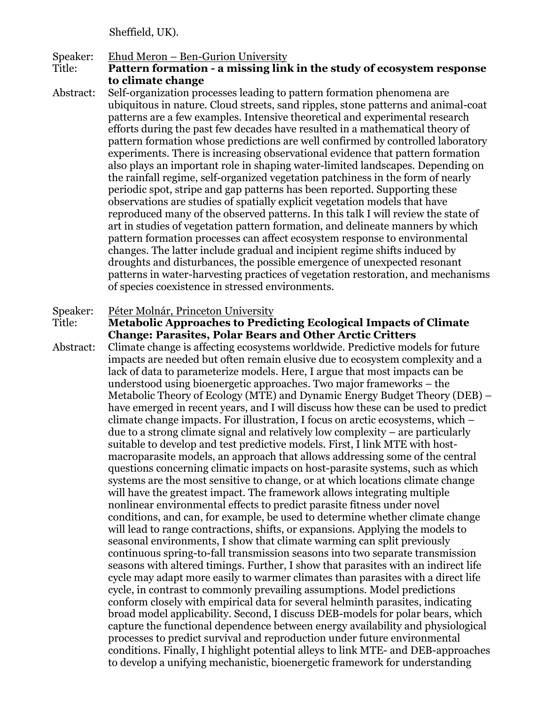Sheffield, UK).

#### Speaker: Ehud Meron – Ben-Gurion University

Title: **Pattern formation - a missing link in the study of ecosystem response to climate change**

Abstract: Self-organization processes leading to pattern formation phenomena are ubiquitous in nature. Cloud streets, sand ripples, stone patterns and animal-coat patterns are a few examples. Intensive theoretical and experimental research efforts during the past few decades have resulted in a mathematical theory of pattern formation whose predictions are well confirmed by controlled laboratory experiments. There is increasing observational evidence that pattern formation also plays an important role in shaping water-limited landscapes. Depending on the rainfall regime, self-organized vegetation patchiness in the form of nearly periodic spot, stripe and gap patterns has been reported. Supporting these observations are studies of spatially explicit vegetation models that have reproduced many of the observed patterns. In this talk I will review the state of art in studies of vegetation pattern formation, and delineate manners by which pattern formation processes can affect ecosystem response to environmental changes. The latter include gradual and incipient regime shifts induced by droughts and disturbances, the possible emergence of unexpected resonant patterns in water-harvesting practices of vegetation restoration, and mechanisms of species coexistence in stressed environments.

# Speaker: Péter Molnár, Princeton University<br>
Title: Metabolic Approaches to Predi

**Metabolic Approaches to Predicting Ecological Impacts of Climate Change: Parasites, Polar Bears and Other Arctic Critters**

Abstract: Climate change is affecting ecosystems worldwide. Predictive models for future impacts are needed but often remain elusive due to ecosystem complexity and a lack of data to parameterize models. Here, I argue that most impacts can be understood using bioenergetic approaches. Two major frameworks – the Metabolic Theory of Ecology (MTE) and Dynamic Energy Budget Theory (DEB) – have emerged in recent years, and I will discuss how these can be used to predict climate change impacts. For illustration, I focus on arctic ecosystems, which – due to a strong climate signal and relatively low complexity – are particularly suitable to develop and test predictive models. First, I link MTE with hostmacroparasite models, an approach that allows addressing some of the central questions concerning climatic impacts on host-parasite systems, such as which systems are the most sensitive to change, or at which locations climate change will have the greatest impact. The framework allows integrating multiple nonlinear environmental effects to predict parasite fitness under novel conditions, and can, for example, be used to determine whether climate change will lead to range contractions, shifts, or expansions. Applying the models to seasonal environments, I show that climate warming can split previously continuous spring-to-fall transmission seasons into two separate transmission seasons with altered timings. Further, I show that parasites with an indirect life cycle may adapt more easily to warmer climates than parasites with a direct life cycle, in contrast to commonly prevailing assumptions. Model predictions conform closely with empirical data for several helminth parasites, indicating broad model applicability. Second, I discuss DEB-models for polar bears, which capture the functional dependence between energy availability and physiological processes to predict survival and reproduction under future environmental conditions. Finally, I highlight potential alleys to link MTE- and DEB-approaches to develop a unifying mechanistic, bioenergetic framework for understanding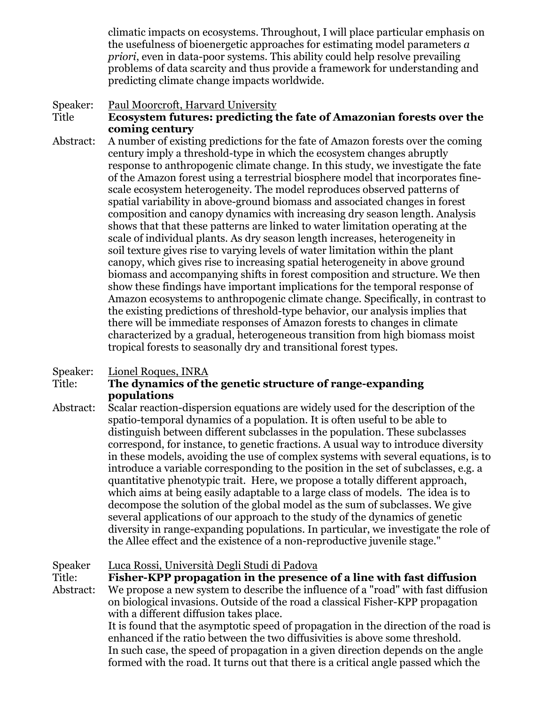climatic impacts on ecosystems. Throughout, I will place particular emphasis on the usefulness of bioenergetic approaches for estimating model parameters *a priori*, even in data-poor systems. This ability could help resolve prevailing problems of data scarcity and thus provide a framework for understanding and predicting climate change impacts worldwide.

- Speaker: Paul Moorcroft, Harvard University Title **Ecosystem futures: predicting the fate of Amazonian forests over the coming century**
- Abstract: A number of existing predictions for the fate of Amazon forests over the coming century imply a threshold-type in which the ecosystem changes abruptly response to anthropogenic climate change. In this study, we investigate the fate of the Amazon forest using a terrestrial biosphere model that incorporates finescale ecosystem heterogeneity. The model reproduces observed patterns of spatial variability in above-ground biomass and associated changes in forest composition and canopy dynamics with increasing dry season length. Analysis shows that that these patterns are linked to water limitation operating at the scale of individual plants. As dry season length increases, heterogeneity in soil texture gives rise to varying levels of water limitation within the plant canopy, which gives rise to increasing spatial heterogeneity in above ground biomass and accompanying shifts in forest composition and structure. We then show these findings have important implications for the temporal response of Amazon ecosystems to anthropogenic climate change. Specifically, in contrast to the existing predictions of threshold-type behavior, our analysis implies that there will be immediate responses of Amazon forests to changes in climate characterized by a gradual, heterogeneous transition from high biomass moist tropical forests to seasonally dry and transitional forest types.

#### Speaker: Lionel Roques, INRA

#### Title: **The dynamics of the genetic structure of range-expanding populations**

Abstract: Scalar reaction-dispersion equations are widely used for the description of the spatio-temporal dynamics of a population. It is often useful to be able to distinguish between different subclasses in the population. These subclasses correspond, for instance, to genetic fractions. A usual way to introduce diversity in these models, avoiding the use of complex systems with several equations, is to introduce a variable corresponding to the position in the set of subclasses, e.g. a quantitative phenotypic trait. Here, we propose a totally different approach, which aims at being easily adaptable to a large class of models. The idea is to decompose the solution of the global model as the sum of subclasses. We give several applications of our approach to the study of the dynamics of genetic diversity in range-expanding populations. In particular, we investigate the role of the Allee effect and the existence of a non-reproductive juvenile stage."

Speaker Luca Rossi, Università Degli Studi di Padova Title: **Fisher-KPP propagation in the presence of a line with fast diffusion** Abstract: We propose a new system to describe the influence of a "road" with fast diffusion on biological invasions. Outside of the road a classical Fisher-KPP propagation with a different diffusion takes place. It is found that the asymptotic speed of propagation in the direction of the road is enhanced if the ratio between the two diffusivities is above some threshold. In such case, the speed of propagation in a given direction depends on the angle formed with the road. It turns out that there is a critical angle passed which the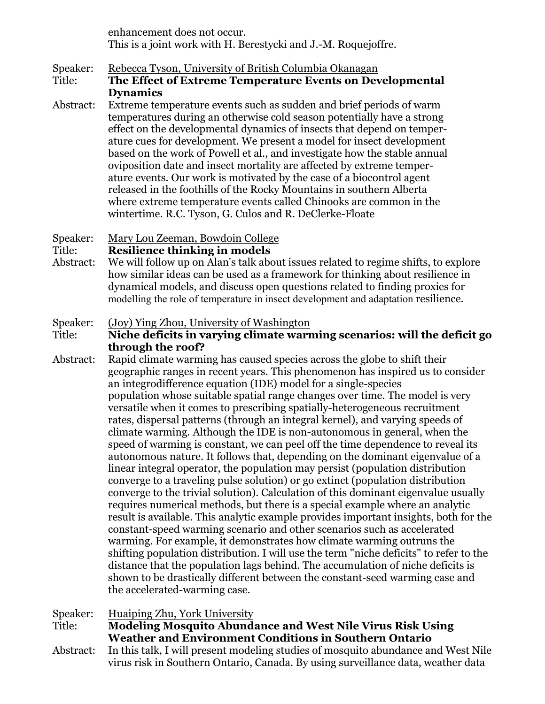enhancement does not occur. This is a joint work with H. Berestycki and J.-M. Roquejoffre.

Speaker: Rebecca Tyson, University of British Columbia Okanagan

- Title: **The Effect of Extreme Temperature Events on Developmental Dynamics**
- Abstract: Extreme temperature events such as sudden and brief periods of warm temperatures during an otherwise cold season potentially have a strong effect on the developmental dynamics of insects that depend on temperature cues for development. We present a model for insect development based on the work of Powell et al., and investigate how the stable annual oviposition date and insect mortality are affected by extreme temperature events. Our work is motivated by the case of a biocontrol agent released in the foothills of the Rocky Mountains in southern Alberta where extreme temperature events called Chinooks are common in the wintertime. R.C. Tyson, G. Culos and R. DeClerke-Floate
- Speaker: Mary Lou Zeeman, Bowdoin College

#### Title: **Resilience thinking in models**

Abstract: We will follow up on Alan's talk about issues related to regime shifts, to explore how similar ideas can be used as a framework for thinking about resilience in dynamical models, and discuss open questions related to finding proxies for modelling the role of temperature in insect development and adaptation resilience.

#### Speaker: (Joy) Ying Zhou, University of Washington

#### Title: **Niche deficits in varying climate warming scenarios: will the deficit go through the roof?**

Abstract: Rapid climate warming has caused species across the globe to shift their geographic ranges in recent years. This phenomenon has inspired us to consider an integrodifference equation (IDE) model for a single-species population whose suitable spatial range changes over time. The model is very versatile when it comes to prescribing spatially-heterogeneous recruitment rates, dispersal patterns (through an integral kernel), and varying speeds of climate warming. Although the IDE is non-autonomous in general, when the speed of warming is constant, we can peel off the time dependence to reveal its autonomous nature. It follows that, depending on the dominant eigenvalue of a linear integral operator, the population may persist (population distribution converge to a traveling pulse solution) or go extinct (population distribution converge to the trivial solution). Calculation of this dominant eigenvalue usually requires numerical methods, but there is a special example where an analytic result is available. This analytic example provides important insights, both for the constant-speed warming scenario and other scenarios such as accelerated warming. For example, it demonstrates how climate warming outruns the shifting population distribution. I will use the term "niche deficits" to refer to the distance that the population lags behind. The accumulation of niche deficits is shown to be drastically different between the constant-seed warming case and the accelerated-warming case.

Speaker: Huaiping Zhu, York University

Title: **Modeling Mosquito Abundance and West Nile Virus Risk Using Weather and Environment Conditions in Southern Ontario**

Abstract: In this talk, I will present modeling studies of mosquito abundance and West Nile virus risk in Southern Ontario, Canada. By using surveillance data, weather data